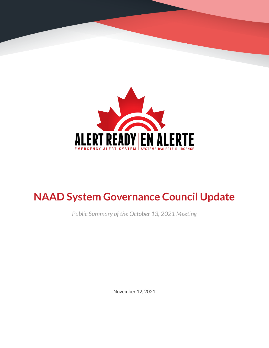

# **NAAD System Governance Council Update**

*Public Summary of the October 13, 2021 Meeting*

November 12, 2021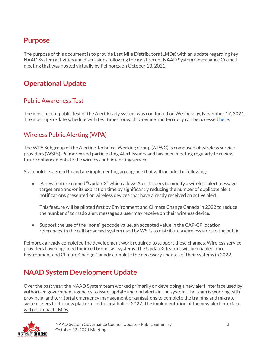### **Purpose**

The purpose of this document is to provide Last Mile Distributors (LMDs) with an update regarding key NAAD System activities and discussions following the most recent NAAD System Governance Council meeting that was hosted virtually by Pelmorex on October 13, 2021.

## **Operational Update**

#### Public Awareness Test

The most recent public test of the Alert Ready system was conducted on Wednesday, November 17, 2021. The most up-to-date schedule with test times for each province and territory can be accessed [here](https://alerts.pelmorex.com/#test-schedule).

#### Wireless Public Alerting (WPA)

The WPA Subgroup of the Alerting Technical Working Group (ATWG) is composed of wireless service providers (WSPs), Pelmorex and participating Alert Issuers and has been meeting regularly to review future enhancements to the wireless public alerting service.

Stakeholders agreed to and are implementing an upgrade that will include the following:

● A new feature named "UpdateX" which allows Alert Issuers to modify a wireless alert message target area and/or its expiration time by significantly reducing the number of duplicate alert notifications presented on wireless devices that have already received an active alert.

This feature will be piloted first by Environment and Climate Change Canada in 2022 to reduce the number of tornado alert messages a user may receive on their wireless device.

• Support the use of the "none" geocode value, an accepted value in the CAP-CP location references, in the cell broadcast system used by WSPs to distribute a wireless alert to the public.

Pelmorex already completed the development work required to support these changes. Wireless service providers have upgraded their cell broadcast systems. The UpdateX feature will be enabled once Environment and Climate Change Canada complete the necessary updates of their systems in 2022.

## **NAAD System Development Update**

Over the past year, the NAAD System team worked primarily on developing a new alert interface used by authorized government agencies to issue, update and end alerts in the system. The team is working with provincial and territorial emergency management organisations to complete the training and migrate system users to the new platform in the first half of 2022. The implementation of the new alert interface will not impact LMDs.

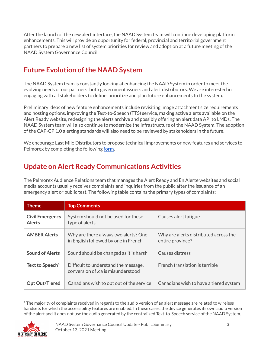After the launch of the new alert interface, the NAAD System team will continue developing platform enhancements. This will provide an opportunity for federal, provincial and territorial government partners to prepare a new list of system priorities for review and adoption at a future meeting of the NAAD System Governance Council.

# **Future Evolution of the NAAD System**

The NAAD System team is constantly looking at enhancing the NAAD System in order to meet the evolving needs of our partners, both government issuers and alert distributors. We are interested in engaging with all stakeholders to define, prioritize and plan future enhancements to the system.

Preliminary ideas of new feature enhancements include revisiting image attachment size requirements and hosting options, improving the Text-to-Speech (TTS) service, making active alerts available on the Alert Ready website, redesigning the alerts archive and possibly offering an alert data API to LMDs. The NAAD System team will also continue to modernize the infrastructure of the NAAD System. The adoption of the CAP-CP 1.0 alerting standards will also need to be reviewed by stakeholders in the future.

We encourage Last Mile Distributors to propose technical improvements or new features and services to Pelmorex by completing the following [form](https://alerts.pelmorex.com/contact-us/).

## **Update on Alert Ready Communications Activities**

The Pelmorex Audience Relations team that manages the Alert Ready and En Alerte websites and social media accounts usually receives complaints and inquiries from the public after the issuance of an emergency alert or public test. The following table contains the primary types of complaints:

| <b>Theme</b>                            | <b>Top Comments</b>                                                          |                                                           |
|-----------------------------------------|------------------------------------------------------------------------------|-----------------------------------------------------------|
| <b>Civil Emergency</b><br><b>Alerts</b> | System should not be used for these<br>type of alerts                        | Causes alert fatigue                                      |
| <b>AMBER Alerts</b>                     | Why are there always two alerts? One<br>in English followed by one in French | Why are alerts distributed across the<br>entire province? |
| <b>Sound of Alerts</b>                  | Sound should be changed as it is harsh                                       | Causes distress                                           |
| Text to Speech <sup>1</sup>             | Difficult to understand the message,<br>conversion of .ca is misunderstood   | French translation is terrible                            |
| <b>Opt Out/Tiered</b>                   | Canadians wish to opt out of the service                                     | Canadians wish to have a tiered system                    |

 $1$  The majority of complaints received in regards to the audio version of an alert message are related to wireless handsets for which the accessibility features are enabled. In these cases, the device generates its own audio version of the alert and it does not use the audio generated by the centralized Text-to-Speech service of the NAAD System.